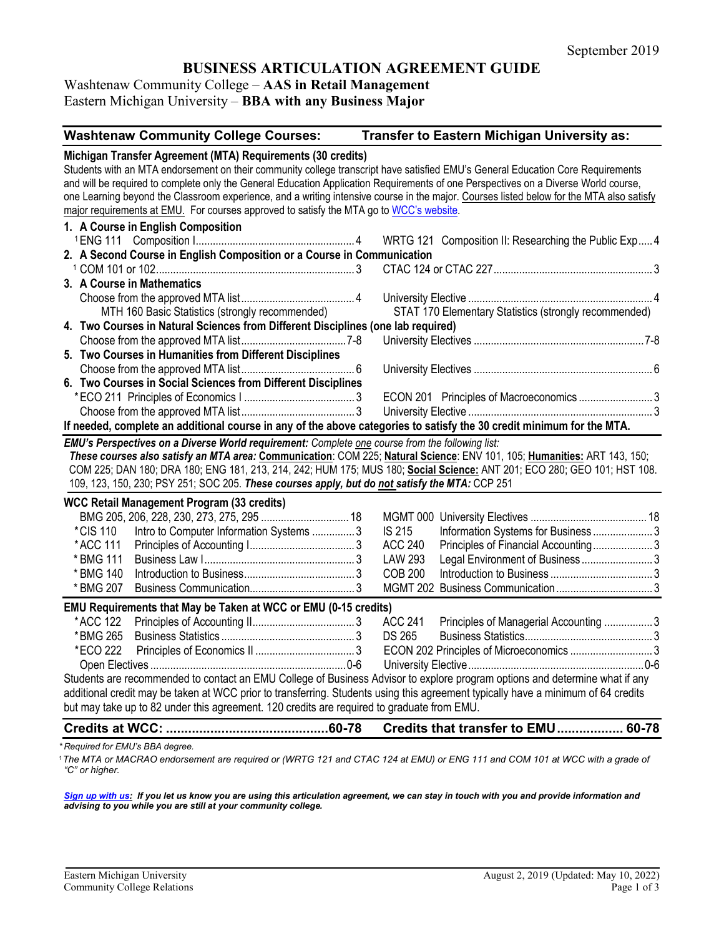# **BUSINESS ARTICULATION AGREEMENT GUIDE**

Washtenaw Community College – **AAS in Retail Management** Eastern Michigan University – **BBA with any Business Major**

| <b>Washtenaw Community College Courses:</b>                                                                                                                                                                                                                                                                                                                                                                                      | Transfer to Eastern Michigan University as:                                                                                                                                                                                                          |
|----------------------------------------------------------------------------------------------------------------------------------------------------------------------------------------------------------------------------------------------------------------------------------------------------------------------------------------------------------------------------------------------------------------------------------|------------------------------------------------------------------------------------------------------------------------------------------------------------------------------------------------------------------------------------------------------|
| Michigan Transfer Agreement (MTA) Requirements (30 credits)<br>Students with an MTA endorsement on their community college transcript have satisfied EMU's General Education Core Requirements<br>and will be required to complete only the General Education Application Requirements of one Perspectives on a Diverse World course,<br>major requirements at EMU. For courses approved to satisfy the MTA go to WCC's website. | one Learning beyond the Classroom experience, and a writing intensive course in the major. Courses listed below for the MTA also satisfy                                                                                                             |
| 1. A Course in English Composition                                                                                                                                                                                                                                                                                                                                                                                               |                                                                                                                                                                                                                                                      |
|                                                                                                                                                                                                                                                                                                                                                                                                                                  | WRTG 121 Composition II: Researching the Public Exp4                                                                                                                                                                                                 |
| 2. A Second Course in English Composition or a Course in Communication                                                                                                                                                                                                                                                                                                                                                           |                                                                                                                                                                                                                                                      |
|                                                                                                                                                                                                                                                                                                                                                                                                                                  |                                                                                                                                                                                                                                                      |
| 3. A Course in Mathematics                                                                                                                                                                                                                                                                                                                                                                                                       |                                                                                                                                                                                                                                                      |
|                                                                                                                                                                                                                                                                                                                                                                                                                                  |                                                                                                                                                                                                                                                      |
| MTH 160 Basic Statistics (strongly recommended)                                                                                                                                                                                                                                                                                                                                                                                  | STAT 170 Elementary Statistics (strongly recommended)                                                                                                                                                                                                |
| 4. Two Courses in Natural Sciences from Different Disciplines (one lab required)                                                                                                                                                                                                                                                                                                                                                 |                                                                                                                                                                                                                                                      |
|                                                                                                                                                                                                                                                                                                                                                                                                                                  |                                                                                                                                                                                                                                                      |
| 5. Two Courses in Humanities from Different Disciplines                                                                                                                                                                                                                                                                                                                                                                          |                                                                                                                                                                                                                                                      |
|                                                                                                                                                                                                                                                                                                                                                                                                                                  |                                                                                                                                                                                                                                                      |
| 6. Two Courses in Social Sciences from Different Disciplines                                                                                                                                                                                                                                                                                                                                                                     |                                                                                                                                                                                                                                                      |
|                                                                                                                                                                                                                                                                                                                                                                                                                                  |                                                                                                                                                                                                                                                      |
|                                                                                                                                                                                                                                                                                                                                                                                                                                  |                                                                                                                                                                                                                                                      |
| If needed, complete an additional course in any of the above categories to satisfy the 30 credit minimum for the MTA.                                                                                                                                                                                                                                                                                                            |                                                                                                                                                                                                                                                      |
| EMU's Perspectives on a Diverse World requirement: Complete one course from the following list:<br>109, 123, 150, 230; PSY 251; SOC 205. These courses apply, but do not satisfy the MTA: CCP 251                                                                                                                                                                                                                                | These courses also satisfy an MTA area: Communication: COM 225; Natural Science: ENV 101, 105; Humanities: ART 143, 150;<br>COM 225; DAN 180; DRA 180; ENG 181, 213, 214, 242; HUM 175; MUS 180; Social Science: ANT 201; ECO 280; GEO 101; HST 108. |
| <b>WCC Retail Management Program (33 credits)</b>                                                                                                                                                                                                                                                                                                                                                                                |                                                                                                                                                                                                                                                      |
|                                                                                                                                                                                                                                                                                                                                                                                                                                  |                                                                                                                                                                                                                                                      |
| Intro to Computer Information Systems  3<br>*CIS 110                                                                                                                                                                                                                                                                                                                                                                             | IS 215<br>Information Systems for Business  3                                                                                                                                                                                                        |
| *ACC 111                                                                                                                                                                                                                                                                                                                                                                                                                         | <b>ACC 240</b><br>Principles of Financial Accounting3                                                                                                                                                                                                |
| * BMG 111                                                                                                                                                                                                                                                                                                                                                                                                                        | <b>LAW 293</b><br>Legal Environment of Business3                                                                                                                                                                                                     |
| * BMG 140                                                                                                                                                                                                                                                                                                                                                                                                                        | <b>COB 200</b>                                                                                                                                                                                                                                       |
| * BMG 207                                                                                                                                                                                                                                                                                                                                                                                                                        |                                                                                                                                                                                                                                                      |
| EMU Requirements that May be Taken at WCC or EMU (0-15 credits)                                                                                                                                                                                                                                                                                                                                                                  |                                                                                                                                                                                                                                                      |
| *ACC 122                                                                                                                                                                                                                                                                                                                                                                                                                         | <b>ACC 241</b><br>Principles of Managerial Accounting  3                                                                                                                                                                                             |
| *BMG 265                                                                                                                                                                                                                                                                                                                                                                                                                         | <b>DS 265</b>                                                                                                                                                                                                                                        |
| *ECO 222                                                                                                                                                                                                                                                                                                                                                                                                                         |                                                                                                                                                                                                                                                      |
|                                                                                                                                                                                                                                                                                                                                                                                                                                  |                                                                                                                                                                                                                                                      |
| Students are recommended to contact an EMU College of Business Advisor to explore program options and determine what if any<br>additional credit may be taken at WCC prior to transferring. Students using this agreement typically have a minimum of 64 credits<br>but may take up to 82 under this agreement. 120 credits are required to graduate from EMU.                                                                   |                                                                                                                                                                                                                                                      |
| <b>Credits at WCC:</b>                                                                                                                                                                                                                                                                                                                                                                                                           | Credits that transfer to EMU 60-78                                                                                                                                                                                                                   |

*\* Required for EMU's BBA degree.* 

<sup>1</sup> The MTA or MACRAO endorsement are required or (WRTG 121 and CTAC 124 at EMU) or ENG 111 and COM 101 at WCC with a grade of *"C" or higher.*

*[Sign up with us:](https://www.emich.edu/ccr/articulation-agreements/signup.php) If you let us know you are using this articulation agreement, we can stay in touch with you and provide information and advising to you while you are still at your community college.*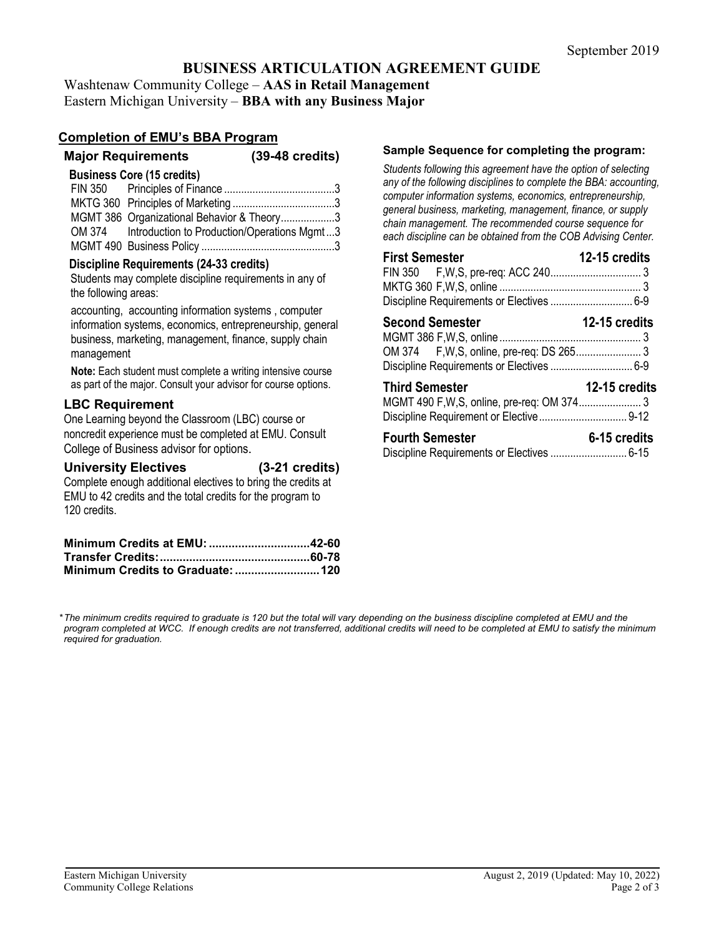## **BUSINESS ARTICULATION AGREEMENT GUIDE**

Washtenaw Community College – **AAS in Retail Management** Eastern Michigan University – **BBA with any Business Major**

#### **Completion of EMU's BBA Program**

| $(39-48 \text{ credits})$ |
|---------------------------|
|                           |

#### **Business Core (15 credits)**

| MGMT 386 Organizational Behavior & Theory3         |  |
|----------------------------------------------------|--|
| OM 374 Introduction to Production/Operations Mgmt3 |  |
|                                                    |  |

#### **Discipline Requirements (24-33 credits)**

Students may complete discipline requirements in any of the following areas:

accounting, accounting information systems , computer information systems, economics, entrepreneurship, general business, marketing, management, finance, supply chain management

**Note:** Each student must complete a writing intensive course as part of the major. Consult your advisor for course options.

#### **LBC Requirement**

One Learning beyond the Classroom (LBC) course or noncredit experience must be completed at EMU. Consult College of Business advisor for options.

| <b>University Electives</b> | $(3-21$ credits) |
|-----------------------------|------------------|
|                             |                  |

Complete enough additional electives to bring the credits at EMU to 42 credits and the total credits for the program to 120 credits.

| Minimum Credits at EMU: 42-60 |  |
|-------------------------------|--|
|                               |  |
|                               |  |

#### **Sample Sequence for completing the program:**

*Students following this agreement have the option of selecting any of the following disciplines to complete the BBA: accounting, computer information systems, economics, entrepreneurship, general business, marketing, management, finance, or supply chain management. The recommended course sequence for each discipline can be obtained from the COB Advising Center.* 

| <b>First Semester</b>                          | 12-15 credits |
|------------------------------------------------|---------------|
|                                                |               |
|                                                |               |
|                                                |               |
| <b>12-15 credits</b><br><b>Second Semester</b> |               |
|                                                |               |
|                                                |               |
|                                                |               |
| <b>Third Semester</b>                          | 12-15 credits |
|                                                |               |
|                                                |               |
| <b>Fourth Sampstor</b>                         | 6-15 cradite  |

| <b>Fourth Semester</b> | 6-15 credits |
|------------------------|--------------|
|                        |              |

*\*The minimum credits required to graduate is 120 but the total will vary depending on the business discipline completed at EMU and the*  program completed at WCC. If enough credits are not transferred, additional credits will need to be completed at EMU to satisfy the minimum *required for graduation.*